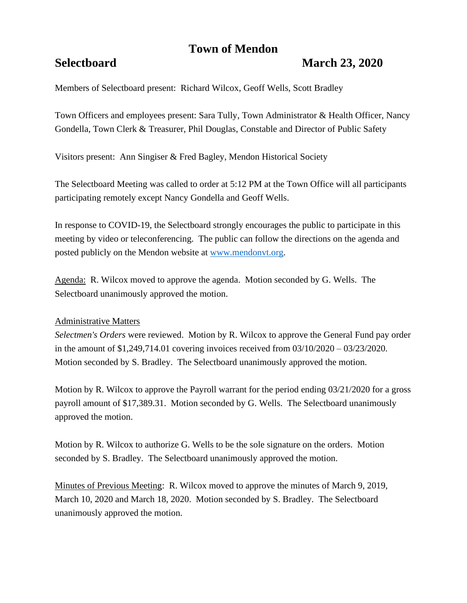# **Town of Mendon**

## **Selectboard March 23, 2020**

Members of Selectboard present: Richard Wilcox, Geoff Wells, Scott Bradley

Town Officers and employees present: Sara Tully, Town Administrator & Health Officer, Nancy Gondella, Town Clerk & Treasurer, Phil Douglas, Constable and Director of Public Safety

Visitors present: Ann Singiser & Fred Bagley, Mendon Historical Society

The Selectboard Meeting was called to order at 5:12 PM at the Town Office will all participants participating remotely except Nancy Gondella and Geoff Wells.

In response to COVID-19, the Selectboard strongly encourages the public to participate in this meeting by video or teleconferencing. The public can follow the directions on the agenda and posted publicly on the Mendon website at [www.mendonvt.org.](http://www.mendonvt.org/)

Agenda: R. Wilcox moved to approve the agenda. Motion seconded by G. Wells. The Selectboard unanimously approved the motion.

## Administrative Matters

*Selectmen's Orders* were reviewed. Motion by R. Wilcox to approve the General Fund pay order in the amount of \$1,249,714.01 covering invoices received from 03/10/2020 – 03/23/2020. Motion seconded by S. Bradley. The Selectboard unanimously approved the motion.

Motion by R. Wilcox to approve the Payroll warrant for the period ending 03/21/2020 for a gross payroll amount of \$17,389.31. Motion seconded by G. Wells. The Selectboard unanimously approved the motion.

Motion by R. Wilcox to authorize G. Wells to be the sole signature on the orders. Motion seconded by S. Bradley. The Selectboard unanimously approved the motion.

Minutes of Previous Meeting: R. Wilcox moved to approve the minutes of March 9, 2019, March 10, 2020 and March 18, 2020. Motion seconded by S. Bradley. The Selectboard unanimously approved the motion.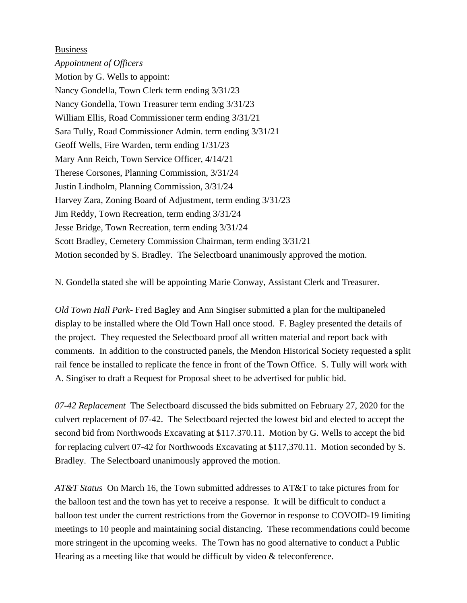### Business

*Appointment of Officers* Motion by G. Wells to appoint: Nancy Gondella, Town Clerk term ending 3/31/23 Nancy Gondella, Town Treasurer term ending 3/31/23 William Ellis, Road Commissioner term ending 3/31/21 Sara Tully, Road Commissioner Admin. term ending 3/31/21 Geoff Wells, Fire Warden, term ending 1/31/23 Mary Ann Reich, Town Service Officer, 4/14/21 Therese Corsones, Planning Commission, 3/31/24 Justin Lindholm, Planning Commission, 3/31/24 Harvey Zara, Zoning Board of Adjustment, term ending 3/31/23 Jim Reddy, Town Recreation, term ending 3/31/24 Jesse Bridge, Town Recreation, term ending 3/31/24 Scott Bradley, Cemetery Commission Chairman, term ending 3/31/21 Motion seconded by S. Bradley. The Selectboard unanimously approved the motion.

N. Gondella stated she will be appointing Marie Conway, Assistant Clerk and Treasurer.

*Old Town Hall Park-* Fred Bagley and Ann Singiser submitted a plan for the multipaneled display to be installed where the Old Town Hall once stood. F. Bagley presented the details of the project. They requested the Selectboard proof all written material and report back with comments. In addition to the constructed panels, the Mendon Historical Society requested a split rail fence be installed to replicate the fence in front of the Town Office. S. Tully will work with A. Singiser to draft a Request for Proposal sheet to be advertised for public bid.

*07-42 Replacement* The Selectboard discussed the bids submitted on February 27, 2020 for the culvert replacement of 07-42. The Selectboard rejected the lowest bid and elected to accept the second bid from Northwoods Excavating at \$117.370.11. Motion by G. Wells to accept the bid for replacing culvert 07-42 for Northwoods Excavating at \$117,370.11. Motion seconded by S. Bradley. The Selectboard unanimously approved the motion.

*AT&T Status* On March 16, the Town submitted addresses to AT&T to take pictures from for the balloon test and the town has yet to receive a response. It will be difficult to conduct a balloon test under the current restrictions from the Governor in response to COVOID-19 limiting meetings to 10 people and maintaining social distancing. These recommendations could become more stringent in the upcoming weeks. The Town has no good alternative to conduct a Public Hearing as a meeting like that would be difficult by video & teleconference.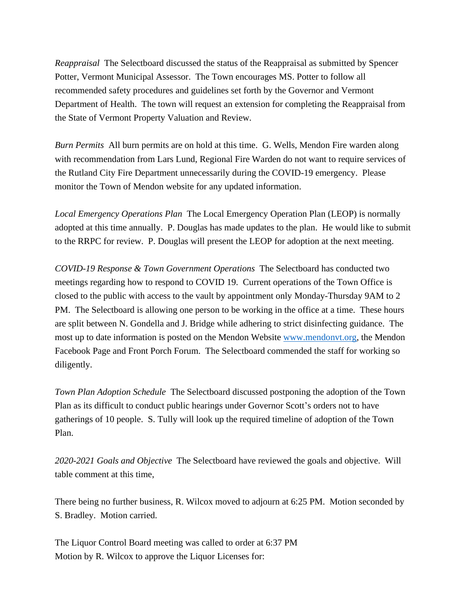*Reappraisal* The Selectboard discussed the status of the Reappraisal as submitted by Spencer Potter, Vermont Municipal Assessor. The Town encourages MS. Potter to follow all recommended safety procedures and guidelines set forth by the Governor and Vermont Department of Health. The town will request an extension for completing the Reappraisal from the State of Vermont Property Valuation and Review.

*Burn Permits* All burn permits are on hold at this time. G. Wells, Mendon Fire warden along with recommendation from Lars Lund, Regional Fire Warden do not want to require services of the Rutland City Fire Department unnecessarily during the COVID-19 emergency. Please monitor the Town of Mendon website for any updated information.

*Local Emergency Operations Plan* The Local Emergency Operation Plan (LEOP) is normally adopted at this time annually. P. Douglas has made updates to the plan. He would like to submit to the RRPC for review. P. Douglas will present the LEOP for adoption at the next meeting.

*COVID-19 Response & Town Government Operations* The Selectboard has conducted two meetings regarding how to respond to COVID 19. Current operations of the Town Office is closed to the public with access to the vault by appointment only Monday-Thursday 9AM to 2 PM. The Selectboard is allowing one person to be working in the office at a time. These hours are split between N. Gondella and J. Bridge while adhering to strict disinfecting guidance. The most up to date information is posted on the Mendon Website [www.mendonvt.org,](http://www.mendonvt.org/) the Mendon Facebook Page and Front Porch Forum. The Selectboard commended the staff for working so diligently.

*Town Plan Adoption Schedule* The Selectboard discussed postponing the adoption of the Town Plan as its difficult to conduct public hearings under Governor Scott's orders not to have gatherings of 10 people. S. Tully will look up the required timeline of adoption of the Town Plan.

*2020-2021 Goals and Objective* The Selectboard have reviewed the goals and objective. Will table comment at this time,

There being no further business, R. Wilcox moved to adjourn at 6:25 PM. Motion seconded by S. Bradley. Motion carried.

The Liquor Control Board meeting was called to order at 6:37 PM Motion by R. Wilcox to approve the Liquor Licenses for: